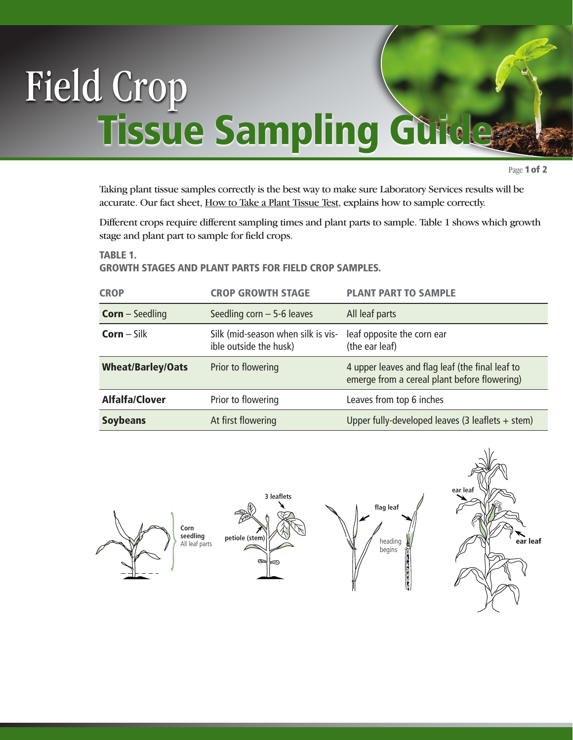## Field Crop **Tissue Sampling Guide**

Page 1 of 2

Taking plant tissue samples correctly is the best way to make sure Laboratory Services results will be accurate. Our fact sheet, [How to Take a Plant Tissue Test,](http://novascotia.ca/agri/qe/factsheets/howto-planttissue.pdf) explains how to sample correctly.

Different crops require different sampling times and plant parts to sample. Table 1 shows which growth stage and plant part to sample for field crops.

TABLE 1.

## GROWTH STAGES AND PLANT PARTS FOR FIELD CROP SAMPLES.

| <b>CROP</b>              | <b>CROP GROWTH STAGE</b>                                     | <b>PLANT PART TO SAMPLE</b>                                                                     |  |  |  |  |
|--------------------------|--------------------------------------------------------------|-------------------------------------------------------------------------------------------------|--|--|--|--|
| <b>Corn</b> – Seedling   | Seedling corn $-5$ -6 leaves                                 | All leaf parts                                                                                  |  |  |  |  |
| $Corn-Silk$              | Silk (mid-season when silk is vis-<br>ible outside the husk) | leaf opposite the corn ear<br>(the ear leaf)                                                    |  |  |  |  |
| <b>Wheat/Barley/Oats</b> | Prior to flowering                                           | 4 upper leaves and flag leaf (the final leaf to<br>emerge from a cereal plant before flowering) |  |  |  |  |
| <b>Alfalfa/Clover</b>    | Prior to flowering                                           | Leaves from top 6 inches                                                                        |  |  |  |  |
| <b>Soybeans</b>          | At first flowering                                           | Upper fully-developed leaves (3 leaflets $+$ stem)                                              |  |  |  |  |